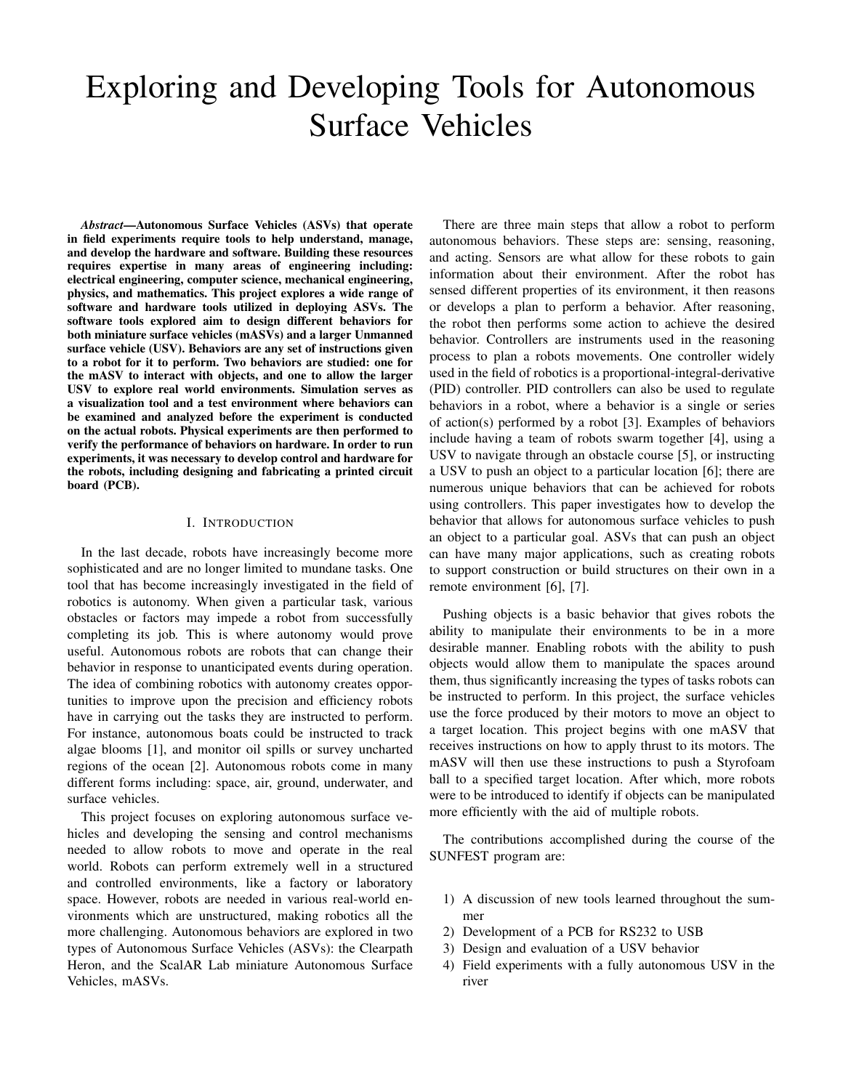# Exploring and Developing Tools for Autonomous Surface Vehicles

*Abstract*—Autonomous Surface Vehicles (ASVs) that operate in field experiments require tools to help understand, manage, and develop the hardware and software. Building these resources requires expertise in many areas of engineering including: electrical engineering, computer science, mechanical engineering, physics, and mathematics. This project explores a wide range of software and hardware tools utilized in deploying ASVs. The software tools explored aim to design different behaviors for both miniature surface vehicles (mASVs) and a larger Unmanned surface vehicle (USV). Behaviors are any set of instructions given to a robot for it to perform. Two behaviors are studied: one for the mASV to interact with objects, and one to allow the larger USV to explore real world environments. Simulation serves as a visualization tool and a test environment where behaviors can be examined and analyzed before the experiment is conducted on the actual robots. Physical experiments are then performed to verify the performance of behaviors on hardware. In order to run experiments, it was necessary to develop control and hardware for the robots, including designing and fabricating a printed circuit board (PCB).

## I. INTRODUCTION

In the last decade, robots have increasingly become more sophisticated and are no longer limited to mundane tasks. One tool that has become increasingly investigated in the field of robotics is autonomy. When given a particular task, various obstacles or factors may impede a robot from successfully completing its job. This is where autonomy would prove useful. Autonomous robots are robots that can change their behavior in response to unanticipated events during operation. The idea of combining robotics with autonomy creates opportunities to improve upon the precision and efficiency robots have in carrying out the tasks they are instructed to perform. For instance, autonomous boats could be instructed to track algae blooms [1], and monitor oil spills or survey uncharted regions of the ocean [2]. Autonomous robots come in many different forms including: space, air, ground, underwater, and surface vehicles.

This project focuses on exploring autonomous surface vehicles and developing the sensing and control mechanisms needed to allow robots to move and operate in the real world. Robots can perform extremely well in a structured and controlled environments, like a factory or laboratory space. However, robots are needed in various real-world environments which are unstructured, making robotics all the more challenging. Autonomous behaviors are explored in two types of Autonomous Surface Vehicles (ASVs): the Clearpath Heron, and the ScalAR Lab miniature Autonomous Surface Vehicles, mASVs.

There are three main steps that allow a robot to perform autonomous behaviors. These steps are: sensing, reasoning, and acting. Sensors are what allow for these robots to gain information about their environment. After the robot has sensed different properties of its environment, it then reasons or develops a plan to perform a behavior. After reasoning, the robot then performs some action to achieve the desired behavior. Controllers are instruments used in the reasoning process to plan a robots movements. One controller widely used in the field of robotics is a proportional-integral-derivative (PID) controller. PID controllers can also be used to regulate behaviors in a robot, where a behavior is a single or series of action(s) performed by a robot [3]. Examples of behaviors include having a team of robots swarm together [4], using a USV to navigate through an obstacle course [5], or instructing a USV to push an object to a particular location [6]; there are numerous unique behaviors that can be achieved for robots using controllers. This paper investigates how to develop the behavior that allows for autonomous surface vehicles to push an object to a particular goal. ASVs that can push an object can have many major applications, such as creating robots to support construction or build structures on their own in a remote environment [6], [7].

Pushing objects is a basic behavior that gives robots the ability to manipulate their environments to be in a more desirable manner. Enabling robots with the ability to push objects would allow them to manipulate the spaces around them, thus significantly increasing the types of tasks robots can be instructed to perform. In this project, the surface vehicles use the force produced by their motors to move an object to a target location. This project begins with one mASV that receives instructions on how to apply thrust to its motors. The mASV will then use these instructions to push a Styrofoam ball to a specified target location. After which, more robots were to be introduced to identify if objects can be manipulated more efficiently with the aid of multiple robots.

The contributions accomplished during the course of the SUNFEST program are:

- 1) A discussion of new tools learned throughout the summer
- 2) Development of a PCB for RS232 to USB
- 3) Design and evaluation of a USV behavior
- 4) Field experiments with a fully autonomous USV in the river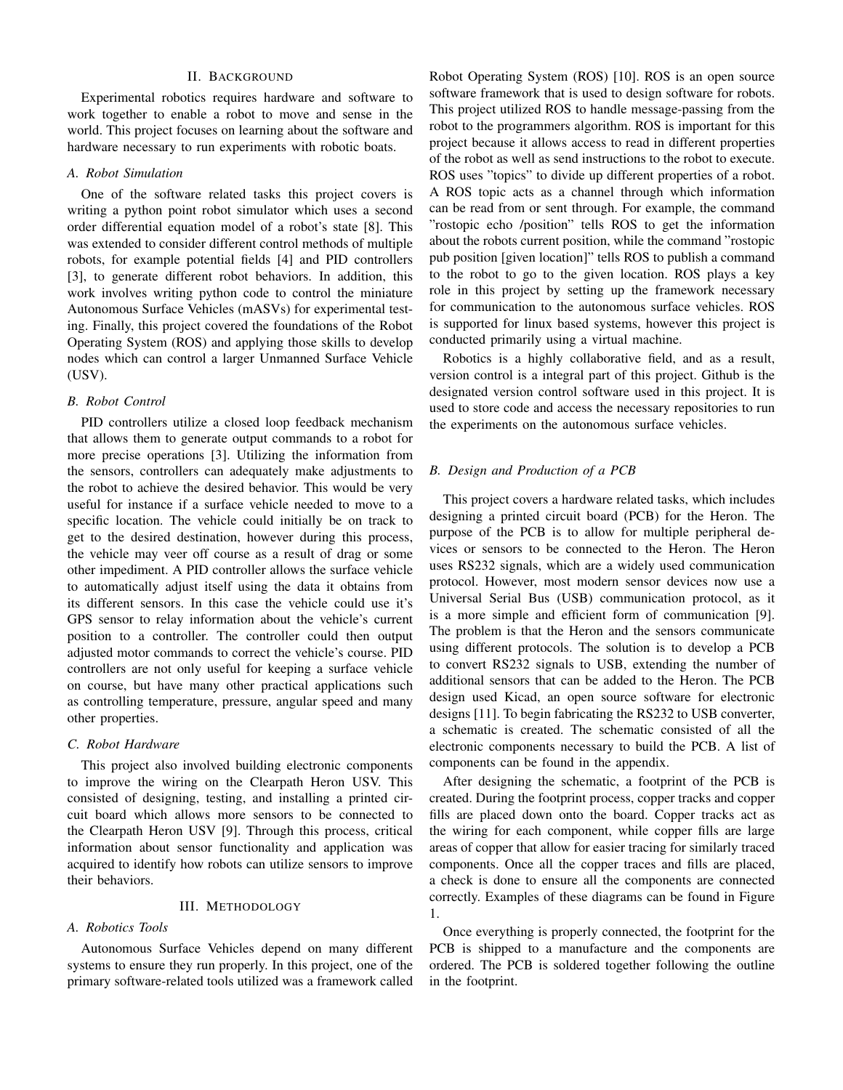# II. BACKGROUND

Experimental robotics requires hardware and software to work together to enable a robot to move and sense in the world. This project focuses on learning about the software and hardware necessary to run experiments with robotic boats.

## *A. Robot Simulation*

One of the software related tasks this project covers is writing a python point robot simulator which uses a second order differential equation model of a robot's state [8]. This was extended to consider different control methods of multiple robots, for example potential fields [4] and PID controllers [3], to generate different robot behaviors. In addition, this work involves writing python code to control the miniature Autonomous Surface Vehicles (mASVs) for experimental testing. Finally, this project covered the foundations of the Robot Operating System (ROS) and applying those skills to develop nodes which can control a larger Unmanned Surface Vehicle (USV).

# *B. Robot Control*

PID controllers utilize a closed loop feedback mechanism that allows them to generate output commands to a robot for more precise operations [3]. Utilizing the information from the sensors, controllers can adequately make adjustments to the robot to achieve the desired behavior. This would be very useful for instance if a surface vehicle needed to move to a specific location. The vehicle could initially be on track to get to the desired destination, however during this process, the vehicle may veer off course as a result of drag or some other impediment. A PID controller allows the surface vehicle to automatically adjust itself using the data it obtains from its different sensors. In this case the vehicle could use it's GPS sensor to relay information about the vehicle's current position to a controller. The controller could then output adjusted motor commands to correct the vehicle's course. PID controllers are not only useful for keeping a surface vehicle on course, but have many other practical applications such as controlling temperature, pressure, angular speed and many other properties.

# *C. Robot Hardware*

This project also involved building electronic components to improve the wiring on the Clearpath Heron USV. This consisted of designing, testing, and installing a printed circuit board which allows more sensors to be connected to the Clearpath Heron USV [9]. Through this process, critical information about sensor functionality and application was acquired to identify how robots can utilize sensors to improve their behaviors.

# III. METHODOLOGY

## *A. Robotics Tools*

Autonomous Surface Vehicles depend on many different systems to ensure they run properly. In this project, one of the primary software-related tools utilized was a framework called

Robot Operating System (ROS) [10]. ROS is an open source software framework that is used to design software for robots. This project utilized ROS to handle message-passing from the robot to the programmers algorithm. ROS is important for this project because it allows access to read in different properties of the robot as well as send instructions to the robot to execute. ROS uses "topics" to divide up different properties of a robot. A ROS topic acts as a channel through which information can be read from or sent through. For example, the command "rostopic echo /position" tells ROS to get the information about the robots current position, while the command "rostopic pub position [given location]" tells ROS to publish a command to the robot to go to the given location. ROS plays a key role in this project by setting up the framework necessary for communication to the autonomous surface vehicles. ROS is supported for linux based systems, however this project is conducted primarily using a virtual machine.

Robotics is a highly collaborative field, and as a result, version control is a integral part of this project. Github is the designated version control software used in this project. It is used to store code and access the necessary repositories to run the experiments on the autonomous surface vehicles.

# *B. Design and Production of a PCB*

This project covers a hardware related tasks, which includes designing a printed circuit board (PCB) for the Heron. The purpose of the PCB is to allow for multiple peripheral devices or sensors to be connected to the Heron. The Heron uses RS232 signals, which are a widely used communication protocol. However, most modern sensor devices now use a Universal Serial Bus (USB) communication protocol, as it is a more simple and efficient form of communication [9]. The problem is that the Heron and the sensors communicate using different protocols. The solution is to develop a PCB to convert RS232 signals to USB, extending the number of additional sensors that can be added to the Heron. The PCB design used Kicad, an open source software for electronic designs [11]. To begin fabricating the RS232 to USB converter, a schematic is created. The schematic consisted of all the electronic components necessary to build the PCB. A list of components can be found in the appendix.

After designing the schematic, a footprint of the PCB is created. During the footprint process, copper tracks and copper fills are placed down onto the board. Copper tracks act as the wiring for each component, while copper fills are large areas of copper that allow for easier tracing for similarly traced components. Once all the copper traces and fills are placed, a check is done to ensure all the components are connected correctly. Examples of these diagrams can be found in Figure 1.

Once everything is properly connected, the footprint for the PCB is shipped to a manufacture and the components are ordered. The PCB is soldered together following the outline in the footprint.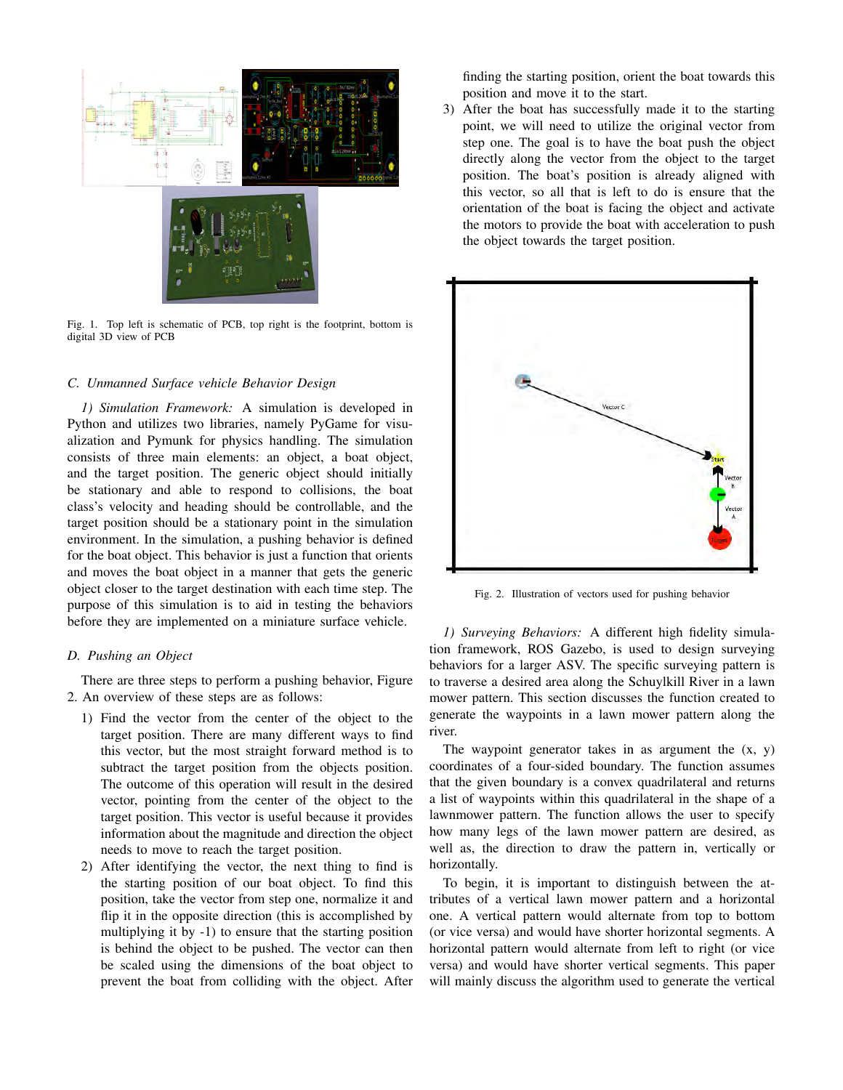

Fig. 1. Top left is schematic of PCB, top right is the footprint, bottom is digital 3D view of PCB

# *C. Unmanned Surface vehicle Behavior Design*

*1) Simulation Framework:* A simulation is developed in Python and utilizes two libraries, namely PyGame for visualization and Pymunk for physics handling. The simulation consists of three main elements: an object, a boat object, and the target position. The generic object should initially be stationary and able to respond to collisions, the boat class's velocity and heading should be controllable, and the target position should be a stationary point in the simulation environment. In the simulation, a pushing behavior is defined for the boat object. This behavior is just a function that orients and moves the boat object in a manner that gets the generic object closer to the target destination with each time step. The purpose of this simulation is to aid in testing the behaviors before they are implemented on a miniature surface vehicle.

# *D. Pushing an Object*

There are three steps to perform a pushing behavior, Figure 2. An overview of these steps are as follows:

- 1) Find the vector from the center of the object to the target position. There are many different ways to find this vector, but the most straight forward method is to subtract the target position from the objects position. The outcome of this operation will result in the desired vector, pointing from the center of the object to the target position. This vector is useful because it provides information about the magnitude and direction the object needs to move to reach the target position.
- 2) After identifying the vector, the next thing to find is the starting position of our boat object. To find this position, take the vector from step one, normalize it and flip it in the opposite direction (this is accomplished by multiplying it by -1) to ensure that the starting position is behind the object to be pushed. The vector can then be scaled using the dimensions of the boat object to prevent the boat from colliding with the object. After

finding the starting position, orient the boat towards this position and move it to the start.

3) After the boat has successfully made it to the starting point, we will need to utilize the original vector from step one. The goal is to have the boat push the object directly along the vector from the object to the target position. The boat's position is already aligned with this vector, so all that is left to do is ensure that the orientation of the boat is facing the object and activate the motors to provide the boat with acceleration to push the object towards the target position.



Fig. 2. Illustration of vectors used for pushing behavior

*1) Surveying Behaviors:* A different high fidelity simulation framework, ROS Gazebo, is used to design surveying behaviors for a larger ASV. The specific surveying pattern is to traverse a desired area along the Schuylkill River in a lawn mower pattern. This section discusses the function created to generate the waypoints in a lawn mower pattern along the river.

The waypoint generator takes in as argument the  $(x, y)$ coordinates of a four-sided boundary. The function assumes that the given boundary is a convex quadrilateral and returns a list of waypoints within this quadrilateral in the shape of a lawnmower pattern. The function allows the user to specify how many legs of the lawn mower pattern are desired, as well as, the direction to draw the pattern in, vertically or horizontally.

To begin, it is important to distinguish between the attributes of a vertical lawn mower pattern and a horizontal one. A vertical pattern would alternate from top to bottom (or vice versa) and would have shorter horizontal segments. A horizontal pattern would alternate from left to right (or vice versa) and would have shorter vertical segments. This paper will mainly discuss the algorithm used to generate the vertical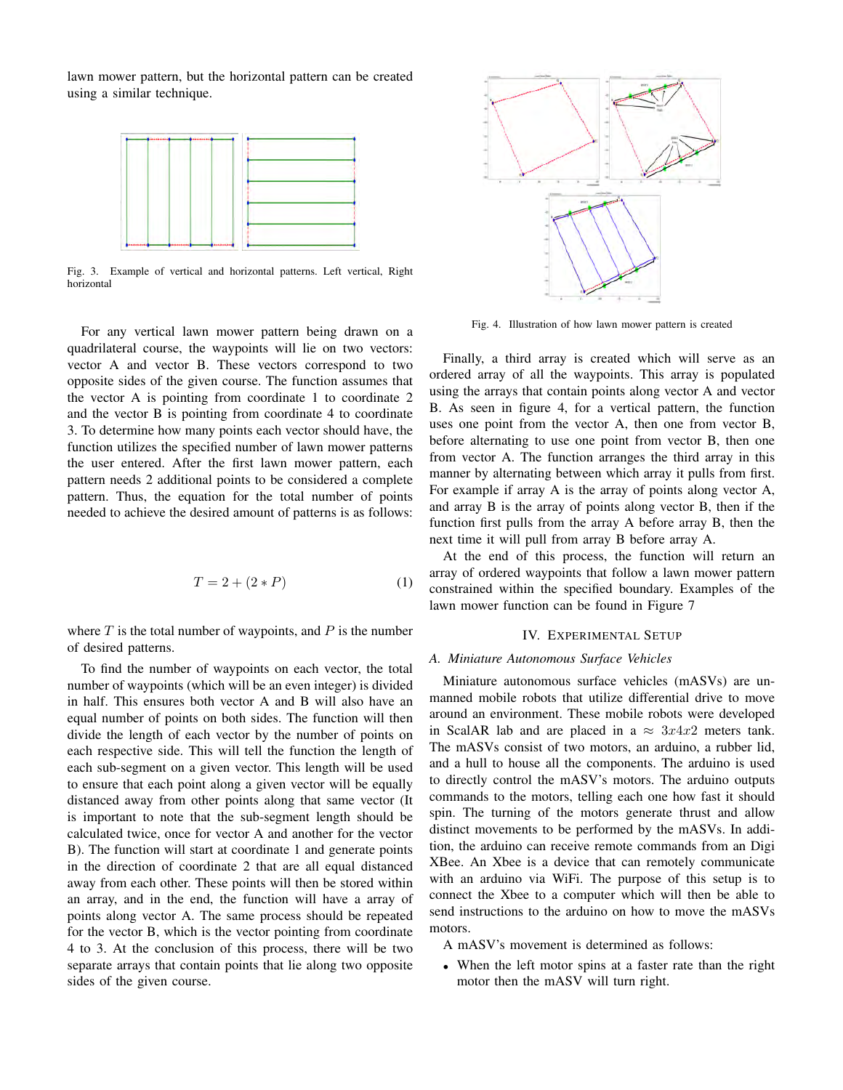lawn mower pattern, but the horizontal pattern can be created using a similar technique.



Fig. 3. Example of vertical and horizontal patterns. Left vertical, Right horizontal

For any vertical lawn mower pattern being drawn on a quadrilateral course, the waypoints will lie on two vectors: vector A and vector B. These vectors correspond to two opposite sides of the given course. The function assumes that the vector A is pointing from coordinate 1 to coordinate 2 and the vector B is pointing from coordinate 4 to coordinate 3. To determine how many points each vector should have, the function utilizes the specified number of lawn mower patterns the user entered. After the first lawn mower pattern, each pattern needs 2 additional points to be considered a complete pattern. Thus, the equation for the total number of points needed to achieve the desired amount of patterns is as follows:

$$
T = 2 + (2 \ast P) \tag{1}
$$

where  $T$  is the total number of waypoints, and  $P$  is the number of desired patterns.

To find the number of waypoints on each vector, the total number of waypoints (which will be an even integer) is divided in half. This ensures both vector A and B will also have an equal number of points on both sides. The function will then divide the length of each vector by the number of points on each respective side. This will tell the function the length of each sub-segment on a given vector. This length will be used to ensure that each point along a given vector will be equally distanced away from other points along that same vector (It is important to note that the sub-segment length should be calculated twice, once for vector A and another for the vector B). The function will start at coordinate 1 and generate points in the direction of coordinate 2 that are all equal distanced away from each other. These points will then be stored within an array, and in the end, the function will have a array of points along vector A. The same process should be repeated for the vector B, which is the vector pointing from coordinate 4 to 3. At the conclusion of this process, there will be two separate arrays that contain points that lie along two opposite sides of the given course.



Fig. 4. Illustration of how lawn mower pattern is created

Finally, a third array is created which will serve as an ordered array of all the waypoints. This array is populated using the arrays that contain points along vector A and vector B. As seen in figure 4, for a vertical pattern, the function uses one point from the vector A, then one from vector B, before alternating to use one point from vector B, then one from vector A. The function arranges the third array in this manner by alternating between which array it pulls from first. For example if array A is the array of points along vector A, and array B is the array of points along vector B, then if the function first pulls from the array A before array B, then the next time it will pull from array B before array A.

At the end of this process, the function will return an array of ordered waypoints that follow a lawn mower pattern constrained within the specified boundary. Examples of the lawn mower function can be found in Figure 7

# IV. EXPERIMENTAL SETUP

#### *A. Miniature Autonomous Surface Vehicles*

Miniature autonomous surface vehicles (mASVs) are unmanned mobile robots that utilize differential drive to move around an environment. These mobile robots were developed in ScalAR lab and are placed in a  $\approx 3x4x2$  meters tank. The mASVs consist of two motors, an arduino, a rubber lid, and a hull to house all the components. The arduino is used to directly control the mASV's motors. The arduino outputs commands to the motors, telling each one how fast it should spin. The turning of the motors generate thrust and allow distinct movements to be performed by the mASVs. In addition, the arduino can receive remote commands from an Digi XBee. An Xbee is a device that can remotely communicate with an arduino via WiFi. The purpose of this setup is to connect the Xbee to a computer which will then be able to send instructions to the arduino on how to move the mASVs motors.

A mASV's movement is determined as follows:

• When the left motor spins at a faster rate than the right motor then the mASV will turn right.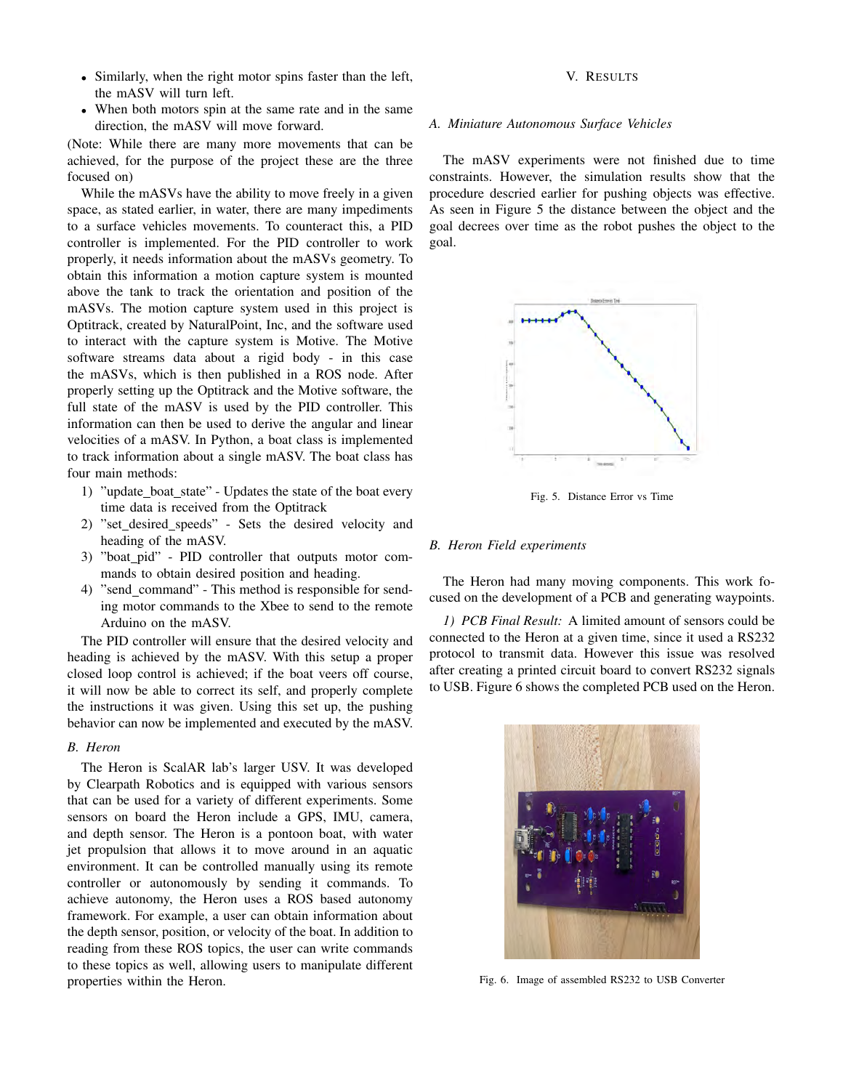- Similarly, when the right motor spins faster than the left, the mASV will turn left.
- When both motors spin at the same rate and in the same direction, the mASV will move forward.

(Note: While there are many more movements that can be achieved, for the purpose of the project these are the three focused on)

While the mASVs have the ability to move freely in a given space, as stated earlier, in water, there are many impediments to a surface vehicles movements. To counteract this, a PID controller is implemented. For the PID controller to work properly, it needs information about the mASVs geometry. To obtain this information a motion capture system is mounted above the tank to track the orientation and position of the mASVs. The motion capture system used in this project is Optitrack, created by NaturalPoint, Inc, and the software used to interact with the capture system is Motive. The Motive software streams data about a rigid body - in this case the mASVs, which is then published in a ROS node. After properly setting up the Optitrack and the Motive software, the full state of the mASV is used by the PID controller. This information can then be used to derive the angular and linear velocities of a mASV. In Python, a boat class is implemented to track information about a single mASV. The boat class has four main methods:

- 1) "update\_boat\_state" Updates the state of the boat every time data is received from the Optitrack
- 2) "set\_desired\_speeds" Sets the desired velocity and heading of the mASV.
- 3) "boat pid" PID controller that outputs motor commands to obtain desired position and heading.
- 4) "send\_command" This method is responsible for sending motor commands to the Xbee to send to the remote Arduino on the mASV.

The PID controller will ensure that the desired velocity and heading is achieved by the mASV. With this setup a proper closed loop control is achieved; if the boat veers off course, it will now be able to correct its self, and properly complete the instructions it was given. Using this set up, the pushing behavior can now be implemented and executed by the mASV.

## *B. Heron*

The Heron is ScalAR lab's larger USV. It was developed by Clearpath Robotics and is equipped with various sensors that can be used for a variety of different experiments. Some sensors on board the Heron include a GPS, IMU, camera, and depth sensor. The Heron is a pontoon boat, with water jet propulsion that allows it to move around in an aquatic environment. It can be controlled manually using its remote controller or autonomously by sending it commands. To achieve autonomy, the Heron uses a ROS based autonomy framework. For example, a user can obtain information about the depth sensor, position, or velocity of the boat. In addition to reading from these ROS topics, the user can write commands to these topics as well, allowing users to manipulate different properties within the Heron.

## V. RESULTS

## *A. Miniature Autonomous Surface Vehicles*

The mASV experiments were not finished due to time constraints. However, the simulation results show that the procedure descried earlier for pushing objects was effective. As seen in Figure 5 the distance between the object and the goal decrees over time as the robot pushes the object to the goal.



Fig. 5. Distance Error vs Time

# *B. Heron Field experiments*

The Heron had many moving components. This work focused on the development of a PCB and generating waypoints.

*1) PCB Final Result:* A limited amount of sensors could be connected to the Heron at a given time, since it used a RS232 protocol to transmit data. However this issue was resolved after creating a printed circuit board to convert RS232 signals to USB. Figure 6 shows the completed PCB used on the Heron.



Fig. 6. Image of assembled RS232 to USB Converter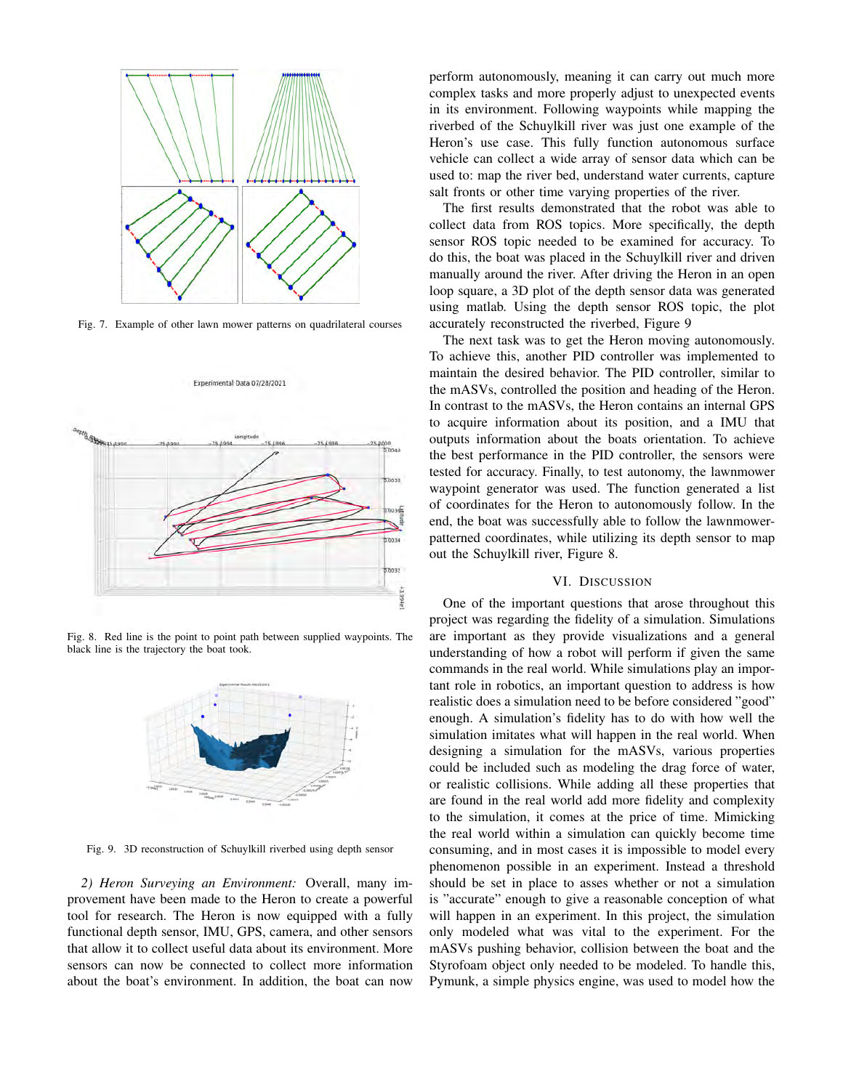

Fig. 7. Example of other lawn mower patterns on quadrilateral courses

Experimental Data 07/28/2021



Fig. 8. Red line is the point to point path between supplied waypoints. The black line is the trajectory the boat took.



Fig. 9. 3D reconstruction of Schuylkill riverbed using depth sensor

*2) Heron Surveying an Environment:* Overall, many improvement have been made to the Heron to create a powerful tool for research. The Heron is now equipped with a fully functional depth sensor, IMU, GPS, camera, and other sensors that allow it to collect useful data about its environment. More sensors can now be connected to collect more information about the boat's environment. In addition, the boat can now perform autonomously, meaning it can carry out much more complex tasks and more properly adjust to unexpected events in its environment. Following waypoints while mapping the riverbed of the Schuylkill river was just one example of the Heron's use case. This fully function autonomous surface vehicle can collect a wide array of sensor data which can be used to: map the river bed, understand water currents, capture salt fronts or other time varying properties of the river.

The first results demonstrated that the robot was able to collect data from ROS topics. More specifically, the depth sensor ROS topic needed to be examined for accuracy. To do this, the boat was placed in the Schuylkill river and driven manually around the river. After driving the Heron in an open loop square, a 3D plot of the depth sensor data was generated using matlab. Using the depth sensor ROS topic, the plot accurately reconstructed the riverbed, Figure 9

The next task was to get the Heron moving autonomously. To achieve this, another PID controller was implemented to maintain the desired behavior. The PID controller, similar to the mASVs, controlled the position and heading of the Heron. In contrast to the mASVs, the Heron contains an internal GPS to acquire information about its position, and a IMU that outputs information about the boats orientation. To achieve the best performance in the PID controller, the sensors were tested for accuracy. Finally, to test autonomy, the lawnmower waypoint generator was used. The function generated a list of coordinates for the Heron to autonomously follow. In the end, the boat was successfully able to follow the lawnmowerpatterned coordinates, while utilizing its depth sensor to map out the Schuylkill river, Figure 8.

## VI. DISCUSSION

One of the important questions that arose throughout this project was regarding the fidelity of a simulation. Simulations are important as they provide visualizations and a general understanding of how a robot will perform if given the same commands in the real world. While simulations play an important role in robotics, an important question to address is how realistic does a simulation need to be before considered "good" enough. A simulation's fidelity has to do with how well the simulation imitates what will happen in the real world. When designing a simulation for the mASVs, various properties could be included such as modeling the drag force of water, or realistic collisions. While adding all these properties that are found in the real world add more fidelity and complexity to the simulation, it comes at the price of time. Mimicking the real world within a simulation can quickly become time consuming, and in most cases it is impossible to model every phenomenon possible in an experiment. Instead a threshold should be set in place to asses whether or not a simulation is "accurate" enough to give a reasonable conception of what will happen in an experiment. In this project, the simulation only modeled what was vital to the experiment. For the mASVs pushing behavior, collision between the boat and the Styrofoam object only needed to be modeled. To handle this, Pymunk, a simple physics engine, was used to model how the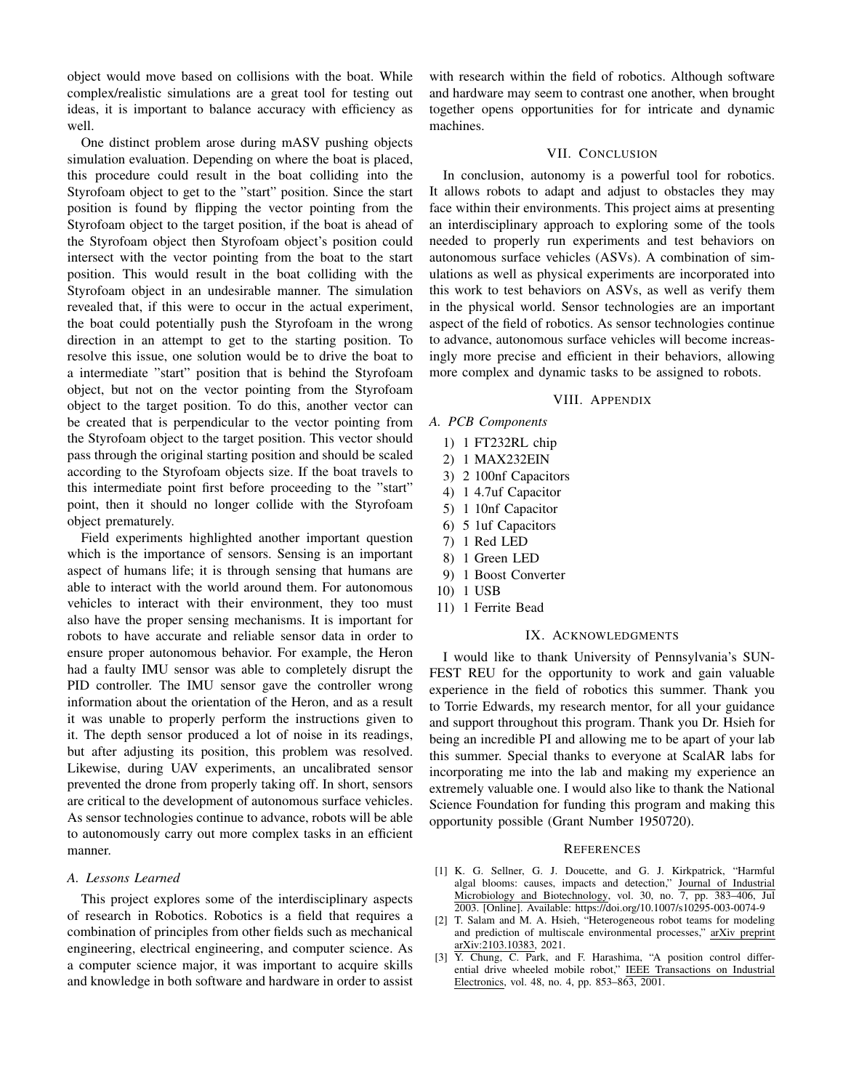object would move based on collisions with the boat. While complex/realistic simulations are a great tool for testing out ideas, it is important to balance accuracy with efficiency as well.

One distinct problem arose during mASV pushing objects simulation evaluation. Depending on where the boat is placed, this procedure could result in the boat colliding into the Styrofoam object to get to the "start" position. Since the start position is found by flipping the vector pointing from the Styrofoam object to the target position, if the boat is ahead of the Styrofoam object then Styrofoam object's position could intersect with the vector pointing from the boat to the start position. This would result in the boat colliding with the Styrofoam object in an undesirable manner. The simulation revealed that, if this were to occur in the actual experiment, the boat could potentially push the Styrofoam in the wrong direction in an attempt to get to the starting position. To resolve this issue, one solution would be to drive the boat to a intermediate "start" position that is behind the Styrofoam object, but not on the vector pointing from the Styrofoam object to the target position. To do this, another vector can be created that is perpendicular to the vector pointing from the Styrofoam object to the target position. This vector should pass through the original starting position and should be scaled according to the Styrofoam objects size. If the boat travels to this intermediate point first before proceeding to the "start" point, then it should no longer collide with the Styrofoam object prematurely.

Field experiments highlighted another important question which is the importance of sensors. Sensing is an important aspect of humans life; it is through sensing that humans are able to interact with the world around them. For autonomous vehicles to interact with their environment, they too must also have the proper sensing mechanisms. It is important for robots to have accurate and reliable sensor data in order to ensure proper autonomous behavior. For example, the Heron had a faulty IMU sensor was able to completely disrupt the PID controller. The IMU sensor gave the controller wrong information about the orientation of the Heron, and as a result it was unable to properly perform the instructions given to it. The depth sensor produced a lot of noise in its readings, but after adjusting its position, this problem was resolved. Likewise, during UAV experiments, an uncalibrated sensor prevented the drone from properly taking off. In short, sensors are critical to the development of autonomous surface vehicles. As sensor technologies continue to advance, robots will be able to autonomously carry out more complex tasks in an efficient manner.

# *A. Lessons Learned*

This project explores some of the interdisciplinary aspects of research in Robotics. Robotics is a field that requires a combination of principles from other fields such as mechanical engineering, electrical engineering, and computer science. As a computer science major, it was important to acquire skills and knowledge in both software and hardware in order to assist

with research within the field of robotics. Although software and hardware may seem to contrast one another, when brought together opens opportunities for for intricate and dynamic machines.

## VII. CONCLUSION

In conclusion, autonomy is a powerful tool for robotics. It allows robots to adapt and adjust to obstacles they may face within their environments. This project aims at presenting an interdisciplinary approach to exploring some of the tools needed to properly run experiments and test behaviors on autonomous surface vehicles (ASVs). A combination of simulations as well as physical experiments are incorporated into this work to test behaviors on ASVs, as well as verify them in the physical world. Sensor technologies are an important aspect of the field of robotics. As sensor technologies continue to advance, autonomous surface vehicles will become increasingly more precise and efficient in their behaviors, allowing more complex and dynamic tasks to be assigned to robots.

## VIII. APPENDIX

- *A. PCB Components*
	- 1) 1 FT232RL chip
	- 2) 1 MAX232EIN
	- 3) 2 100nf Capacitors
	- 4) 1 4.7uf Capacitor
	- 5) 1 10nf Capacitor
	- 6) 5 1uf Capacitors
	- 7) 1 Red LED
	- 8) 1 Green LED
	- 9) 1 Boost Converter
	- 10) 1 USB
	- 11) 1 Ferrite Bead

# IX. ACKNOWLEDGMENTS

I would like to thank University of Pennsylvania's SUN-FEST REU for the opportunity to work and gain valuable experience in the field of robotics this summer. Thank you to Torrie Edwards, my research mentor, for all your guidance and support throughout this program. Thank you Dr. Hsieh for being an incredible PI and allowing me to be apart of your lab this summer. Special thanks to everyone at ScalAR labs for incorporating me into the lab and making my experience an extremely valuable one. I would also like to thank the National Science Foundation for funding this program and making this opportunity possible (Grant Number 1950720).

## **REFERENCES**

- [1] K. G. Sellner, G. J. Doucette, and G. J. Kirkpatrick, "Harmful algal blooms: causes, impacts and detection," Journal of Industrial Microbiology and Biotechnology, vol. 30, no. 7, pp. 383–406, Jul 2003. [Online]. Available: https://doi.org/10.1007/s10295-003-0074-9
- [2] T. Salam and M. A. Hsieh, "Heterogeneous robot teams for modeling and prediction of multiscale environmental processes," arXiv preprint arXiv:2103.10383, 2021.
- [3] Y. Chung, C. Park, and F. Harashima, "A position control differential drive wheeled mobile robot," IEEE Transactions on Industrial Electronics, vol. 48, no. 4, pp. 853–863, 2001.